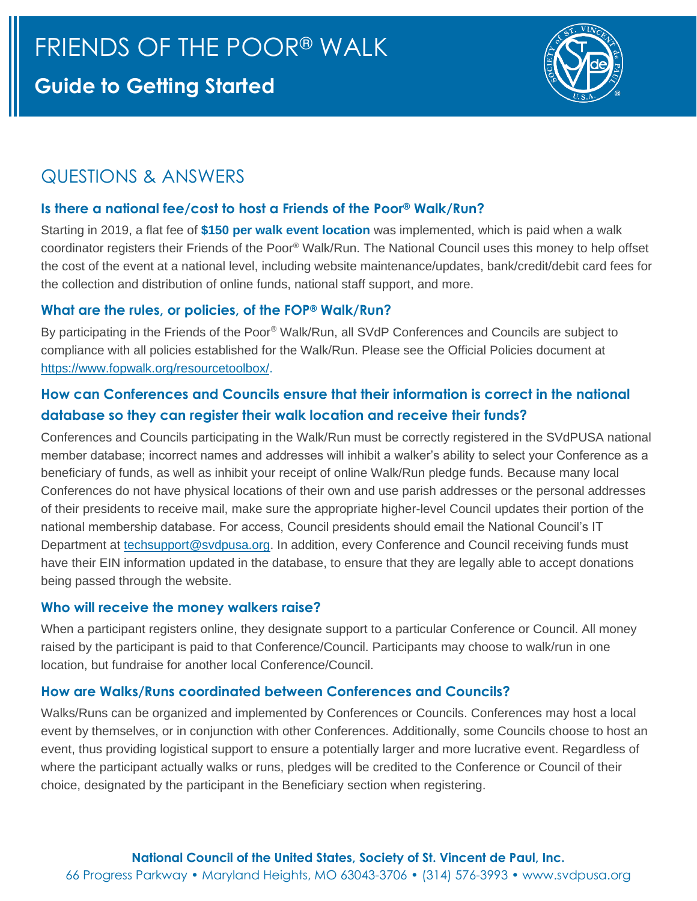# **Guide to Getting Started**



## QUESTIONS & ANSWERS

## **Is there a national fee/cost to host a Friends of the Poor® Walk/Run?**

Starting in 2019, a flat fee of **\$150 per walk event location** was implemented, which is paid when a walk coordinator registers their Friends of the Poor® Walk/Run. The National Council uses this money to help offset the cost of the event at a national level, including website maintenance/updates, bank/credit/debit card fees for the collection and distribution of online funds, national staff support, and more.

## **What are the rules, or policies, of the FOP® Walk/Run?**

By participating in the Friends of the Poor® Walk/Run, all SVdP Conferences and Councils are subject to compliance with all policies established for the Walk/Run. Please see the Official Policies document at [https://www.fopwalk.org/resourcetoolbox/.](https://www.fopwalk.org/resourcetoolbox/)

## **How can Conferences and Councils ensure that their information is correct in the national database so they can register their walk location and receive their funds?**

Conferences and Councils participating in the Walk/Run must be correctly registered in the SVdPUSA national member database; incorrect names and addresses will inhibit a walker's ability to select your Conference as a beneficiary of funds, as well as inhibit your receipt of online Walk/Run pledge funds. Because many local Conferences do not have physical locations of their own and use parish addresses or the personal addresses of their presidents to receive mail, make sure the appropriate higher-level Council updates their portion of the national membership database. For access, Council presidents should email the National Council's IT Department at [techsupport@svdpusa.org.](mailto:techsupport@svdpusa.org) In addition, every Conference and Council receiving funds must have their EIN information updated in the database, to ensure that they are legally able to accept donations being passed through the website.

## **Who will receive the money walkers raise?**

When a participant registers online, they designate support to a particular Conference or Council. All money raised by the participant is paid to that Conference/Council. Participants may choose to walk/run in one location, but fundraise for another local Conference/Council.

## **How are Walks/Runs coordinated between Conferences and Councils?**

Walks/Runs can be organized and implemented by Conferences or Councils. Conferences may host a local event by themselves, or in conjunction with other Conferences. Additionally, some Councils choose to host an event, thus providing logistical support to ensure a potentially larger and more lucrative event. Regardless of where the participant actually walks or runs, pledges will be credited to the Conference or Council of their choice, designated by the participant in the Beneficiary section when registering.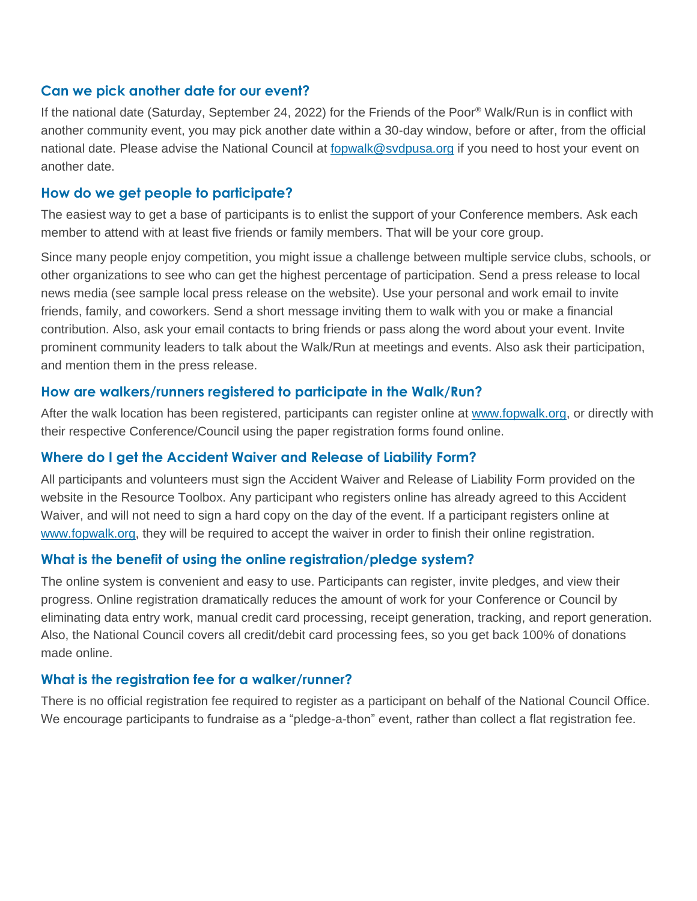#### **Can we pick another date for our event?**

If the national date (Saturday, September 24, 2022) for the Friends of the Poor® Walk/Run is in conflict with another community event, you may pick another date within a 30-day window, before or after, from the official national date. Please advise the National Council at [fopwalk@svdpusa.org](mailto:fopwalk@svdpusa.org) if you need to host your event on another date.

#### **How do we get people to participate?**

The easiest way to get a base of participants is to enlist the support of your Conference members. Ask each member to attend with at least five friends or family members. That will be your core group.

Since many people enjoy competition, you might issue a challenge between multiple service clubs, schools, or other organizations to see who can get the highest percentage of participation. Send a press release to local news media (see sample local press release on the website). Use your personal and work email to invite friends, family, and coworkers. Send a short message inviting them to walk with you or make a financial contribution. Also, ask your email contacts to bring friends or pass along the word about your event. Invite prominent community leaders to talk about the Walk/Run at meetings and events. Also ask their participation, and mention them in the press release.

#### **How are walkers/runners registered to participate in the Walk/Run?**

After the walk location has been registered, participants can register online at [www.fopwalk.org,](http://www.fopwalk.org/) or directly with their respective Conference/Council using the paper registration forms found online.

#### **Where do I get the Accident Waiver and Release of Liability Form?**

All participants and volunteers must sign the Accident Waiver and Release of Liability Form provided on the website in the Resource Toolbox. Any participant who registers online has already agreed to this Accident Waiver, and will not need to sign a hard copy on the day of the event. If a participant registers online at [www.fopwalk.org,](http://www.fopwalk.org/) they will be required to accept the waiver in order to finish their online registration.

#### **What is the benefit of using the online registration/pledge system?**

The online system is convenient and easy to use. Participants can register, invite pledges, and view their progress. Online registration dramatically reduces the amount of work for your Conference or Council by eliminating data entry work, manual credit card processing, receipt generation, tracking, and report generation. Also, the National Council covers all credit/debit card processing fees, so you get back 100% of donations made online.

#### **What is the registration fee for a walker/runner?**

There is no official registration fee required to register as a participant on behalf of the National Council Office. We encourage participants to fundraise as a "pledge-a-thon" event, rather than collect a flat registration fee.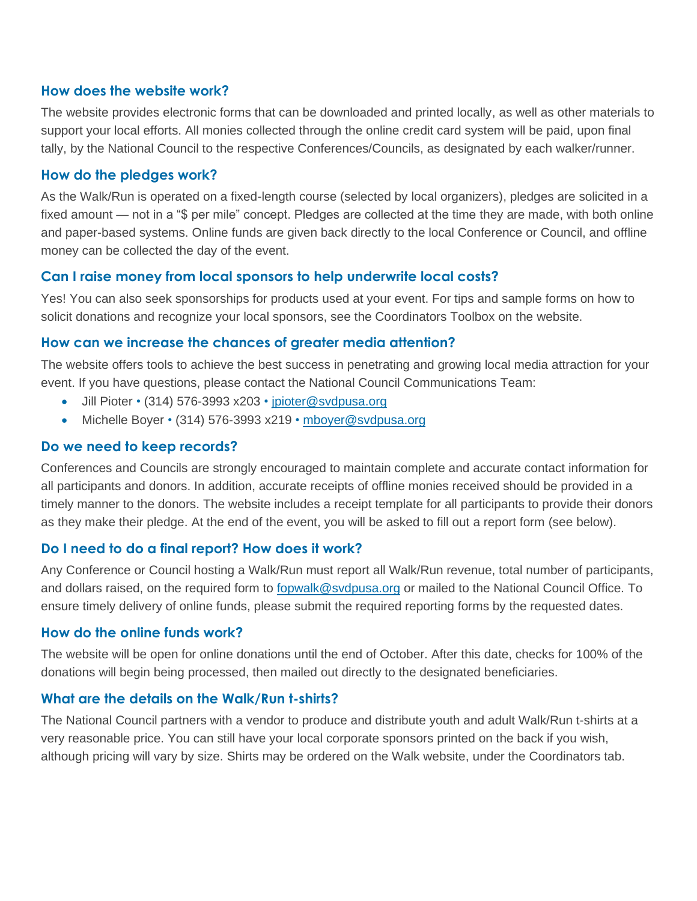#### **How does the website work?**

The website provides electronic forms that can be downloaded and printed locally, as well as other materials to support your local efforts. All monies collected through the online credit card system will be paid, upon final tally, by the National Council to the respective Conferences/Councils, as designated by each walker/runner.

#### **How do the pledges work?**

As the Walk/Run is operated on a fixed-length course (selected by local organizers), pledges are solicited in a fixed amount — not in a "\$ per mile" concept. Pledges are collected at the time they are made, with both online and paper-based systems. Online funds are given back directly to the local Conference or Council, and offline money can be collected the day of the event.

### **Can I raise money from local sponsors to help underwrite local costs?**

Yes! You can also seek sponsorships for products used at your event. For tips and sample forms on how to solicit donations and recognize your local sponsors, see the Coordinators Toolbox on the website.

### **How can we increase the chances of greater media attention?**

The website offers tools to achieve the best success in penetrating and growing local media attraction for your event. If you have questions, please contact the National Council Communications Team:

- Jill Pioter (314) 576-3993 x203 • [jpioter@svdpusa.org](mailto:jpioter@svdpusa.org)
- Michelle Boyer (314) 576-3993 x219 [mboyer@svdpusa.org](mailto:mboyer@svdpusa.org)

#### **Do we need to keep records?**

Conferences and Councils are strongly encouraged to maintain complete and accurate contact information for all participants and donors. In addition, accurate receipts of offline monies received should be provided in a timely manner to the donors. The website includes a receipt template for all participants to provide their donors as they make their pledge. At the end of the event, you will be asked to fill out a report form (see below).

#### **Do I need to do a final report? How does it work?**

Any Conference or Council hosting a Walk/Run must report all Walk/Run revenue, total number of participants, and dollars raised, on the required form to [fopwalk@svdpusa.org](mailto:fopwalk@svdpusa.org) or mailed to the National Council Office. To ensure timely delivery of online funds, please submit the required reporting forms by the requested dates.

#### **How do the online funds work?**

The website will be open for online donations until the end of October. After this date, checks for 100% of the donations will begin being processed, then mailed out directly to the designated beneficiaries.

#### **What are the details on the Walk/Run t-shirts?**

The National Council partners with a vendor to produce and distribute youth and adult Walk/Run t-shirts at a very reasonable price. You can still have your local corporate sponsors printed on the back if you wish, although pricing will vary by size. Shirts may be ordered on the Walk website, under the Coordinators tab.